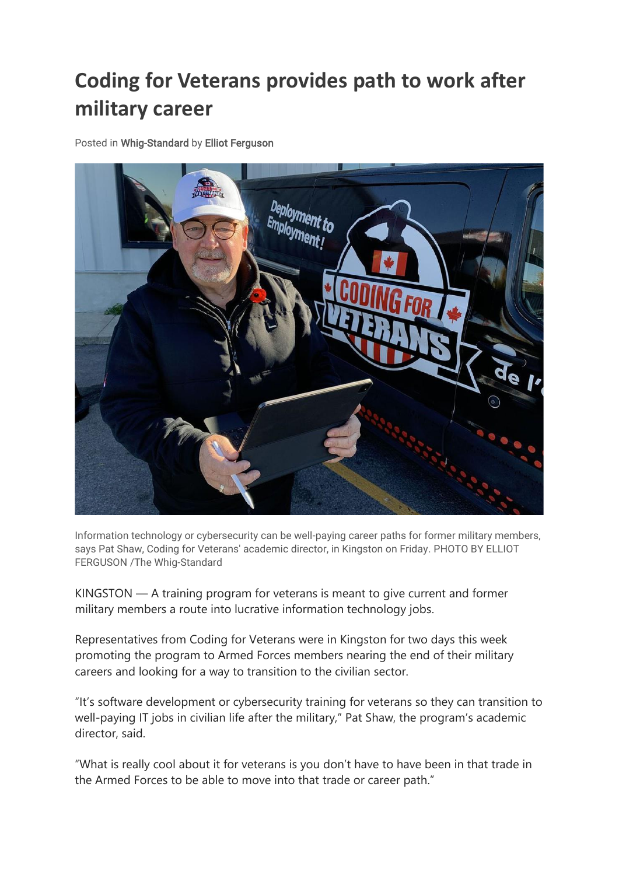## **Coding for Veterans provides path to work after military career**

Posted in Whig-Standard by Elliot Ferguson



Information technology or cybersecurity can be well-paying career paths for former military members, says Pat Shaw, Coding for Veterans' academic director, in Kingston on Friday. PHOTO BY ELLIOT FERGUSON /The Whig-Standard

KINGSTON — A training program for veterans is meant to give current and former military members a route into lucrative information technology jobs.

Representatives from Coding for Veterans were in Kingston for two days this week promoting the program to Armed Forces members nearing the end of their military careers and looking for a way to transition to the civilian sector.

"It's software development or cybersecurity training for veterans so they can transition to well-paying IT jobs in civilian life after the military," Pat Shaw, the program's academic director, said.

"What is really cool about it for veterans is you don't have to have been in that trade in the Armed Forces to be able to move into that trade or career path."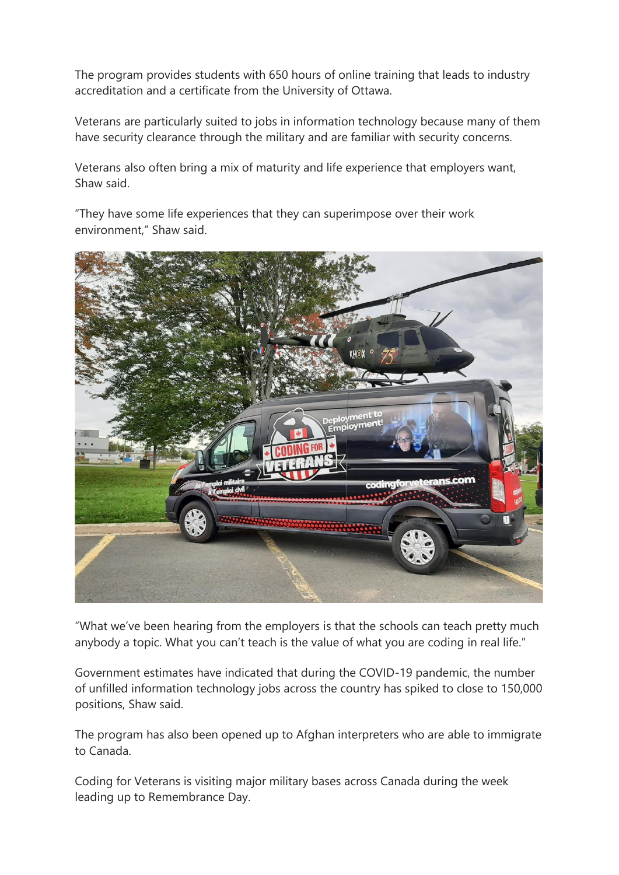The program provides students with 650 hours of online training that leads to industry accreditation and a certificate from the University of Ottawa.

Veterans are particularly suited to jobs in information technology because many of them have security clearance through the military and are familiar with security concerns.

Veterans also often bring a mix of maturity and life experience that employers want, Shaw said.

"They have some life experiences that they can superimpose over their work environment," Shaw said.



"What we've been hearing from the employers is that the schools can teach pretty much anybody a topic. What you can't teach is the value of what you are coding in real life."

Government estimates have indicated that during the COVID-19 pandemic, the number of unfilled information technology jobs across the country has spiked to close to 150,000 positions, Shaw said.

The program has also been opened up to Afghan interpreters who are able to immigrate to Canada.

Coding for Veterans is visiting major military bases across Canada during the week leading up to Remembrance Day.